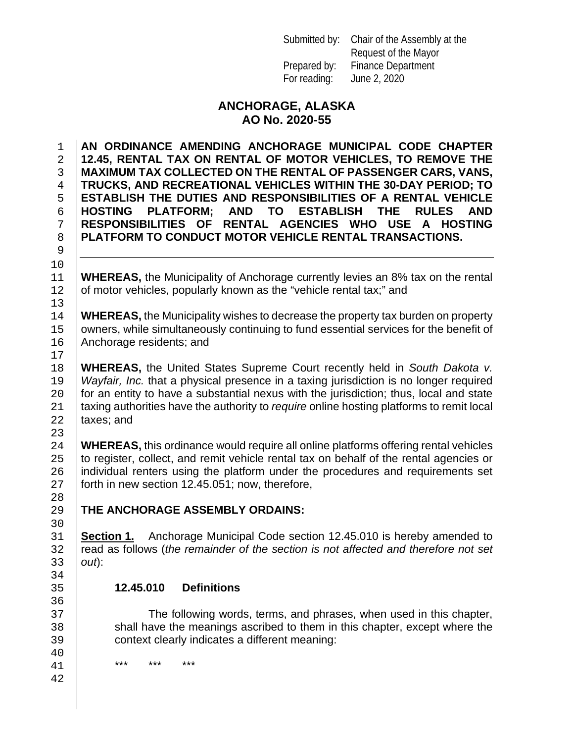Submitted by: Chair of the Assembly at the Request of the Mayor Prepared by: Finance Department For reading: June 2, 2020

### **ANCHORAGE, ALASKA AO No. 2020-55**

 **AN ORDINANCE AMENDING ANCHORAGE MUNICIPAL CODE CHAPTER 12.45, RENTAL TAX ON RENTAL OF MOTOR VEHICLES, TO REMOVE THE MAXIMUM TAX COLLECTED ON THE RENTAL OF PASSENGER CARS, VANS, TRUCKS, AND RECREATIONAL VEHICLES WITHIN THE 30-DAY PERIOD; TO ESTABLISH THE DUTIES AND RESPONSIBILITIES OF A RENTAL VEHICLE HOSTING PLATFORM;**<br>7 **RESPONSIBILITIES OF RESPONSIBILITIES OF RENTAL AGENCIES WHO USE A HOSTING PLATFORM TO CONDUCT MOTOR VEHICLE RENTAL TRANSACTIONS.**

11 **WHEREAS,** the Municipality of Anchorage currently levies an 8% tax on the rental 12 of motor vehicles, popularly known as the "vehicle rental tax;" and of motor vehicles, popularly known as the "vehicle rental tax;" and

14 **WHEREAS,** the Municipality wishes to decrease the property tax burden on property 15 owners, while simultaneously continuing to fund essential services for the benefit of 15 owners, while simultaneously continuing to fund essential services for the benefit of 16 Anchorage residents; and Anchorage residents; and

18 **WHEREAS**, the United States Supreme Court recently held in *South Dakota v.*<br>19 *Wayfair, Inc.* that a physical presence in a taxing jurisdiction is no longer required 19 *Wayfair, Inc.* that a physical presence in a taxing jurisdiction is no longer required<br>20 **for an entity to have a substantial nexus with the iurisdiction: thus. local and state** 20 for an entity to have a substantial nexus with the jurisdiction; thus, local and state  $21$  taxing authorities have the authority to *require* online hosting platforms to remit local 21 taxing authorities have the authority to *require* online hosting platforms to remit local<br>22 taxes; and taxes; and

23<br>24 24 **WHEREAS,** this ordinance would require all online platforms offering rental vehicles 25 to register, collect, and remit vehicle rental tax on behalf of the rental agencies or 25 to register, collect, and remit vehicle rental tax on behalf of the rental agencies or 26 individual renters using the platform under the procedures and requirements set 26 individual renters using the platform under the procedures and requirements set 27 forth in new section 12.45.051; now, therefore, forth in new section 12.45.051; now, therefore,

**THE ANCHORAGE ASSEMBLY ORDAINS:** 

31 **Section 1.** Anchorage Municipal Code section 12.45.010 is hereby amended to read as follows (the remainder of the section is not affected and therefore not set 32 read as follows (*the remainder of the section is not affected and therefore not set*  $33$  out): 33 *out*):

## 35 **12.45.010 Definitions**

37 The following words, terms, and phrases, when used in this chapter,<br>38 Shall have the meanings ascribed to them in this chapter, except where the 38 shall have the meanings ascribed to them in this chapter, except where the context clearly indicates a different meaning: context clearly indicates a different meaning:

41 \*\*\* \*\*\* \*\*\*

9

10<br>11

13<br>14

 $17$ <br> $18$ 

28<br>29

30<br>31

34<br>35

36<br>37

40<br>41

42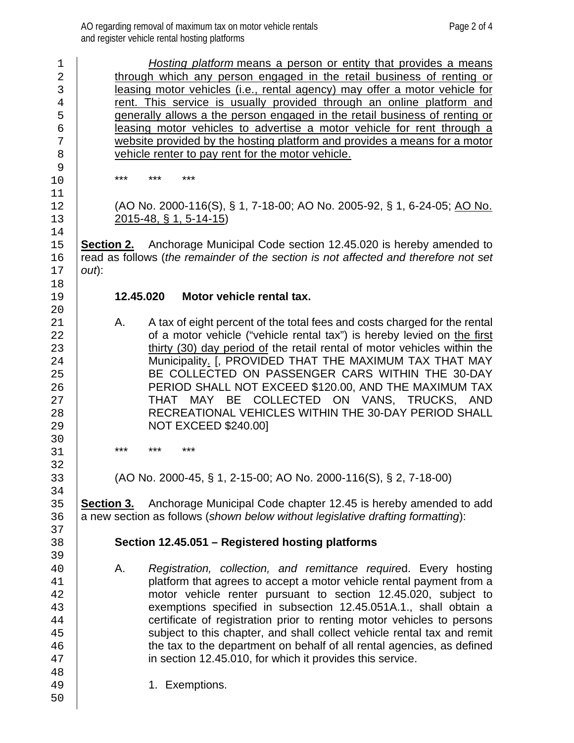| $\mathbf 1$    |                                                                            | Hosting platform means a person or entity that provides a means                     |  |  |  |  |
|----------------|----------------------------------------------------------------------------|-------------------------------------------------------------------------------------|--|--|--|--|
| $\overline{2}$ | through which any person engaged in the retail business of renting or      |                                                                                     |  |  |  |  |
| 3              | leasing motor vehicles (i.e., rental agency) may offer a motor vehicle for |                                                                                     |  |  |  |  |
| $\overline{4}$ |                                                                            | rent. This service is usually provided through an online platform and               |  |  |  |  |
| 5              |                                                                            | generally allows a the person engaged in the retail business of renting or          |  |  |  |  |
| 6              |                                                                            | leasing motor vehicles to advertise a motor vehicle for rent through a              |  |  |  |  |
| 7              |                                                                            | website provided by the hosting platform and provides a means for a motor           |  |  |  |  |
| 8              |                                                                            | vehicle renter to pay rent for the motor vehicle.                                   |  |  |  |  |
| 9              |                                                                            |                                                                                     |  |  |  |  |
| 10             | ***                                                                        | ***<br>***                                                                          |  |  |  |  |
| 11             |                                                                            |                                                                                     |  |  |  |  |
| 12             |                                                                            | (AO No. 2000-116(S), § 1, 7-18-00; AO No. 2005-92, § 1, 6-24-05; AO No.             |  |  |  |  |
| 13             |                                                                            | $2015 - 48$ , § 1, 5-14-15)                                                         |  |  |  |  |
| 14             |                                                                            |                                                                                     |  |  |  |  |
| 15             |                                                                            | <b>Section 2.</b> Anchorage Municipal Code section 12.45.020 is hereby amended to   |  |  |  |  |
| 16             |                                                                            | read as follows (the remainder of the section is not affected and therefore not set |  |  |  |  |
| 17             | $out)$ :                                                                   |                                                                                     |  |  |  |  |
| 18             |                                                                            |                                                                                     |  |  |  |  |
| 19             |                                                                            | Motor vehicle rental tax.<br>12.45.020                                              |  |  |  |  |
| 20             |                                                                            |                                                                                     |  |  |  |  |
| 21             | Α.                                                                         | A tax of eight percent of the total fees and costs charged for the rental           |  |  |  |  |
| 22             |                                                                            | of a motor vehicle ("vehicle rental tax") is hereby levied on the first             |  |  |  |  |
| 23             |                                                                            | thirty (30) day period of the retail rental of motor vehicles within the            |  |  |  |  |
| 24             | Municipality. [, PROVIDED THAT THE MAXIMUM TAX THAT MAY                    |                                                                                     |  |  |  |  |
| 25             |                                                                            | BE COLLECTED ON PASSENGER CARS WITHIN THE 30-DAY                                    |  |  |  |  |
| 26             |                                                                            | PERIOD SHALL NOT EXCEED \$120.00, AND THE MAXIMUM TAX                               |  |  |  |  |
| 27             |                                                                            | THAT MAY BE COLLECTED ON VANS, TRUCKS, AND                                          |  |  |  |  |
| 28             |                                                                            | RECREATIONAL VEHICLES WITHIN THE 30-DAY PERIOD SHALL                                |  |  |  |  |
| 29             |                                                                            | <b>NOT EXCEED \$240.001</b>                                                         |  |  |  |  |
| 30             |                                                                            |                                                                                     |  |  |  |  |
| 31             | ***                                                                        | ***<br>***                                                                          |  |  |  |  |
| 32             |                                                                            |                                                                                     |  |  |  |  |
| 33             |                                                                            | (AO No. 2000-45, § 1, 2-15-00; AO No. 2000-116(S), § 2, 7-18-00)                    |  |  |  |  |
| 34             |                                                                            |                                                                                     |  |  |  |  |
| 35             |                                                                            | <b>Section 3.</b> Anchorage Municipal Code chapter 12.45 is hereby amended to add   |  |  |  |  |
| 36             |                                                                            | a new section as follows (shown below without legislative drafting formatting):     |  |  |  |  |
| 37             |                                                                            |                                                                                     |  |  |  |  |
| 38             |                                                                            | Section 12.45.051 - Registered hosting platforms                                    |  |  |  |  |
| 39             |                                                                            |                                                                                     |  |  |  |  |
| 40             | А.                                                                         | Registration, collection, and remittance required. Every hosting                    |  |  |  |  |
| 41             |                                                                            | platform that agrees to accept a motor vehicle rental payment from a                |  |  |  |  |
|                |                                                                            |                                                                                     |  |  |  |  |
| 42             |                                                                            | motor vehicle renter pursuant to section 12.45.020, subject to                      |  |  |  |  |
| 43             |                                                                            | exemptions specified in subsection 12.45.051A.1., shall obtain a                    |  |  |  |  |
| 44             |                                                                            | certificate of registration prior to renting motor vehicles to persons              |  |  |  |  |
| 45             |                                                                            | subject to this chapter, and shall collect vehicle rental tax and remit             |  |  |  |  |
| 46             |                                                                            | the tax to the department on behalf of all rental agencies, as defined              |  |  |  |  |
| 47             |                                                                            | in section 12.45.010, for which it provides this service.                           |  |  |  |  |
| 48             |                                                                            |                                                                                     |  |  |  |  |
| 49             |                                                                            | 1. Exemptions.                                                                      |  |  |  |  |
| 50             |                                                                            |                                                                                     |  |  |  |  |
|                |                                                                            |                                                                                     |  |  |  |  |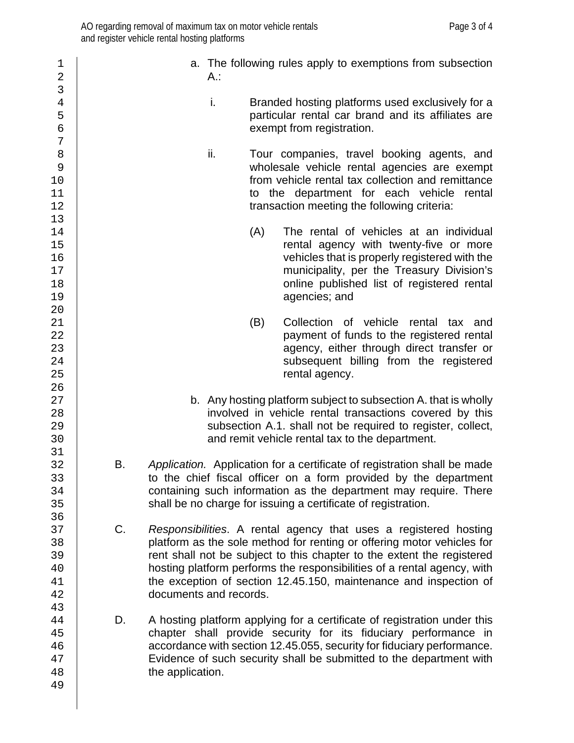| 1<br>$\mathbf 2$                                                                                                                                                                                                                                                 |                                                                                                                                                                                                                                                                                                                                                                                                      | A.: |     | a. The following rules apply to exemptions from subsection                                                                                                                                                                                     |  |  |  |  |
|------------------------------------------------------------------------------------------------------------------------------------------------------------------------------------------------------------------------------------------------------------------|------------------------------------------------------------------------------------------------------------------------------------------------------------------------------------------------------------------------------------------------------------------------------------------------------------------------------------------------------------------------------------------------------|-----|-----|------------------------------------------------------------------------------------------------------------------------------------------------------------------------------------------------------------------------------------------------|--|--|--|--|
| 3<br>$\overline{4}$<br>5<br>б<br>7                                                                                                                                                                                                                               |                                                                                                                                                                                                                                                                                                                                                                                                      | i.  |     | Branded hosting platforms used exclusively for a<br>particular rental car brand and its affiliates are<br>exempt from registration.                                                                                                            |  |  |  |  |
| 8<br>$\mathsf 9$<br>10<br>11<br>12<br>13<br>14<br>15<br>16<br>17<br>18<br>19<br>20<br>21<br>22<br>23<br>24<br>25<br>26<br>27<br>28<br>29<br>30<br>31<br>32<br>33<br>34<br>35<br>36<br>37<br>38<br>39<br>40<br>41<br>42<br>43<br>44<br>45<br>46<br>47<br>48<br>49 |                                                                                                                                                                                                                                                                                                                                                                                                      | ii. |     | Tour companies, travel booking agents, and<br>wholesale vehicle rental agencies are exempt<br>from vehicle rental tax collection and remittance<br>to the department for each vehicle rental<br>transaction meeting the following criteria:    |  |  |  |  |
|                                                                                                                                                                                                                                                                  |                                                                                                                                                                                                                                                                                                                                                                                                      |     | (A) | The rental of vehicles at an individual<br>rental agency with twenty-five or more<br>vehicles that is properly registered with the<br>municipality, per the Treasury Division's<br>online published list of registered rental<br>agencies; and |  |  |  |  |
|                                                                                                                                                                                                                                                                  |                                                                                                                                                                                                                                                                                                                                                                                                      |     | (B) | Collection of vehicle rental tax and<br>payment of funds to the registered rental<br>agency, either through direct transfer or<br>subsequent billing from the registered<br>rental agency.                                                     |  |  |  |  |
|                                                                                                                                                                                                                                                                  | b. Any hosting platform subject to subsection A. that is wholly<br>involved in vehicle rental transactions covered by this<br>subsection A.1. shall not be required to register, collect,<br>and remit vehicle rental tax to the department.                                                                                                                                                         |     |     |                                                                                                                                                                                                                                                |  |  |  |  |
|                                                                                                                                                                                                                                                                  | В.<br>Application. Application for a certificate of registration shall be made<br>to the chief fiscal officer on a form provided by the department<br>containing such information as the department may require. There<br>shall be no charge for issuing a certificate of registration.                                                                                                              |     |     |                                                                                                                                                                                                                                                |  |  |  |  |
|                                                                                                                                                                                                                                                                  | C.<br>Responsibilities. A rental agency that uses a registered hosting<br>platform as the sole method for renting or offering motor vehicles for<br>rent shall not be subject to this chapter to the extent the registered<br>hosting platform performs the responsibilities of a rental agency, with<br>the exception of section 12.45.150, maintenance and inspection of<br>documents and records. |     |     |                                                                                                                                                                                                                                                |  |  |  |  |
|                                                                                                                                                                                                                                                                  | D.<br>A hosting platform applying for a certificate of registration under this<br>chapter shall provide security for its fiduciary performance in<br>accordance with section 12.45.055, security for fiduciary performance.<br>Evidence of such security shall be submitted to the department with<br>the application.                                                                               |     |     |                                                                                                                                                                                                                                                |  |  |  |  |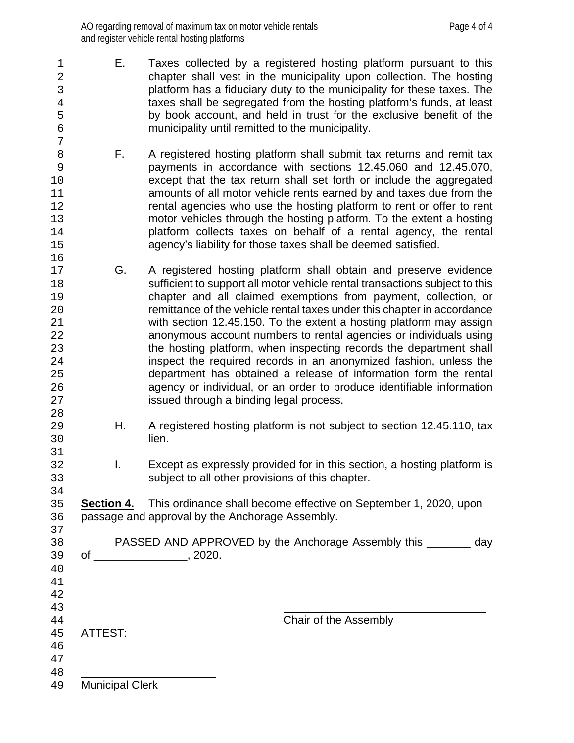- 1 E. Taxes collected by a registered hosting platform pursuant to this<br>2 chapter shall vest in the municipality upon collection. The hosting 2 chapter shall vest in the municipality upon collection. The hosting<br>3 clatform has a fiduciary duty to the municipality for these taxes. The 3 platform has a fiduciary duty to the municipality for these taxes. The taxes shall be segregated from the hosting platform's funds, at least 4 taxes shall be segregated from the hosting platform's funds, at least<br>5 by book account, and held in trust for the exclusive benefit of the 5 by book account, and held in trust for the exclusive benefit of the municipality until remitted to the municipality. municipality until remitted to the municipality.
- 8 **F.** A registered hosting platform shall submit tax returns and remit tax<br>9 **Percey reposes to a repose the repose of the sections** 12.45.060 and 12.45.070. 9 payments in accordance with sections 12.45.060 and 12.45.070,<br>except that the tax return shall set forth or include the aggregated except that the tax return shall set forth or include the aggregated 11 1 amounts of all motor vehicle rents earned by and taxes due from the<br>12 **houries** rental agencies who use the hosting platform to rent or offer to rent 12 **rental agencies who use the hosting platform to rent or offer to rent** 13 13 motor vehicles through the hosting platform. To the extent a hosting<br>14 platform collects taxes on behalf of a rental agency, the rental 14 platform collects taxes on behalf of a rental agency, the rental<br>15 agency's liability for those taxes shall be deemed satisfied. agency's liability for those taxes shall be deemed satisfied.
- 17 G. A registered hosting platform shall obtain and preserve evidence<br>18 Sufficient to support all motor vehicle rental transactions subject to this 18 sufficient to support all motor vehicle rental transactions subject to this<br>19 chapter and all claimed exemptions from payment, collection, or 19 chapter and all claimed exemptions from payment, collection, or<br>20 committance of the vehicle rental taxes under this chapter in accordance remittance of the vehicle rental taxes under this chapter in accordance 21 with section 12.45.150. To the extent a hosting platform may assign<br>22 **Adden** anonymous account numbers to rental agencies or individuals using 22 anonymous account numbers to rental agencies or individuals using<br>23 the hosting platform, when inspecting records the department shall 23 the hosting platform, when inspecting records the department shall<br>24 inspect the required records in an anonymized fashion, unless the 24 inspect the required records in an anonymized fashion, unless the<br>25 department has obtained a release of information form the rental 25 department has obtained a release of information form the rental<br>26 agency or individual, or an order to produce identifiable information 26 agency or individual, or an order to produce identifiable information<br>27 issued through a binding legal process. issued through a binding legal process.
- 29 H. A registered hosting platform is not subject to section 12.45.110, tax<br>30 **Herion** lien.
- 32 I. Except as expressly provided for in this section, a hosting platform is say be subject to all other provisions of this chapter. subject to all other provisions of this chapter.

35 **Section 4.** This ordinance shall become effective on September 1, 2020, upon 36 September 1, 2020, upon passage and approval by the Anchorage Assembly.

38 PASSED AND APPROVED by the Anchorage Assembly this \_\_\_\_\_\_\_ day<br>39 of \_\_\_\_\_\_\_\_\_\_\_\_\_\_\_\_, 2020.  $\circ$  of \_\_\_\_\_\_\_\_\_\_\_\_\_\_\_\_\_\_\_\_, 2020.

44 **ATTEST:**<br>45 **ATTEST:** 

ATTEST:

 $\begin{array}{c} 7 \\ 8 \end{array}$ 

16

28

31<br>32

34<br>35

37<br>38

40 41 42

43

46 47

48<br>49 Municipal Clerk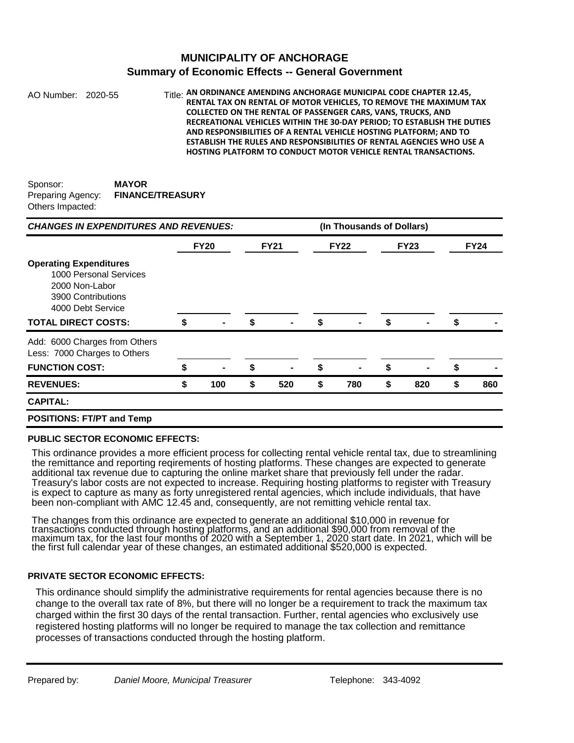### **MUNICIPALITY OF ANCHORAGE Summary of Economic Effects -- General Government**

AO Number: 2020-55 Title: **Title: AN ORDINANCE AMENDING ANCHORAGE MUNICIPAL CODE CHAPTER 12.45, RENTAL TAX ON RENTAL OF MOTOR VEHICLES, TO REMOVE THE MAXIMUM TAX COLLECTED ON THE RENTAL OF PASSENGER CARS, VANS, TRUCKS, AND RECREATIONAL VEHICLES WITHIN THE 30-DAY PERIOD; TO ESTABLISH THE DUTIES AND RESPONSIBILITIES OF A RENTAL VEHICLE HOSTING PLATFORM; AND TO ESTABLISH THE RULES AND RESPONSIBILITIES OF RENTAL AGENCIES WHO USE A HOSTING PLATFORM TO CONDUCT MOTOR VEHICLE RENTAL TRANSACTIONS.**

| Sponsor:          | <b>MAYOR</b>            |
|-------------------|-------------------------|
| Preparing Agency: | <b>FINANCE/TREASURY</b> |
| Others Impacted:  |                         |

| <b>CHANGES IN EXPENDITURES AND REVENUES:</b>                                                                                                       |             |     |    | (In Thousands of Dollars) |    |                |    |             |    |             |  |
|----------------------------------------------------------------------------------------------------------------------------------------------------|-------------|-----|----|---------------------------|----|----------------|----|-------------|----|-------------|--|
|                                                                                                                                                    | <b>FY20</b> |     |    | <b>FY21</b>               |    | <b>FY22</b>    |    | <b>FY23</b> |    | <b>FY24</b> |  |
| <b>Operating Expenditures</b><br>1000 Personal Services<br>2000 Non-Labor<br>3900 Contributions<br>4000 Debt Service<br><b>TOTAL DIRECT COSTS:</b> | \$          |     | \$ |                           | \$ |                | \$ |             | \$ |             |  |
| Add: 6000 Charges from Others<br>Less: 7000 Charges to Others                                                                                      |             |     |    |                           |    |                |    |             |    |             |  |
| <b>FUNCTION COST:</b>                                                                                                                              | S           |     | \$ |                           | S  | $\blacksquare$ | \$ |             | S  |             |  |
| <b>REVENUES:</b>                                                                                                                                   | \$          | 100 | \$ | 520                       | \$ | 780            | \$ | 820         | \$ | 860         |  |
| <b>CAPITAL:</b>                                                                                                                                    |             |     |    |                           |    |                |    |             |    |             |  |
| <b>POSITIONS: FT/PT and Temp</b>                                                                                                                   |             |     |    |                           |    |                |    |             |    |             |  |

#### **PUBLIC SECTOR ECONOMIC EFFECTS:**

This ordinance provides a more efficient process for collecting rental vehicle rental tax, due to streamlining the remittance and reporting reqirements of hosting platforms. These changes are expected to generate additional tax revenue due to capturing the online market share that previously fell under the radar. Treasury's labor costs are not expected to increase. Requiring hosting platforms to register with Treasury is expect to capture as many as forty unregistered rental agencies, which include individuals, that have been non-compliant with AMC 12.45 and, consequently, are not remitting vehicle rental tax.

The changes from this ordinance are expected to generate an additional \$10,000 in revenue for transactions conducted through hosting platforms, and an additional \$90,000 from removal of the maximum tax, for the last four months of 2020 with a September 1, 2020 start date. In 2021, which will be the first full calendar year of these changes, an estimated additional \$520,000 is expected.

#### **PRIVATE SECTOR ECONOMIC EFFECTS:**

This ordinance should simplify the administrative requirements for rental agencies because there is no change to the overall tax rate of 8%, but there will no longer be a requirement to track the maximum tax charged within the first 30 days of the rental transaction. Further, rental agencies who exclusively use registered hosting platforms will no longer be required to manage the tax collection and remittance processes of transactions conducted through the hosting platform.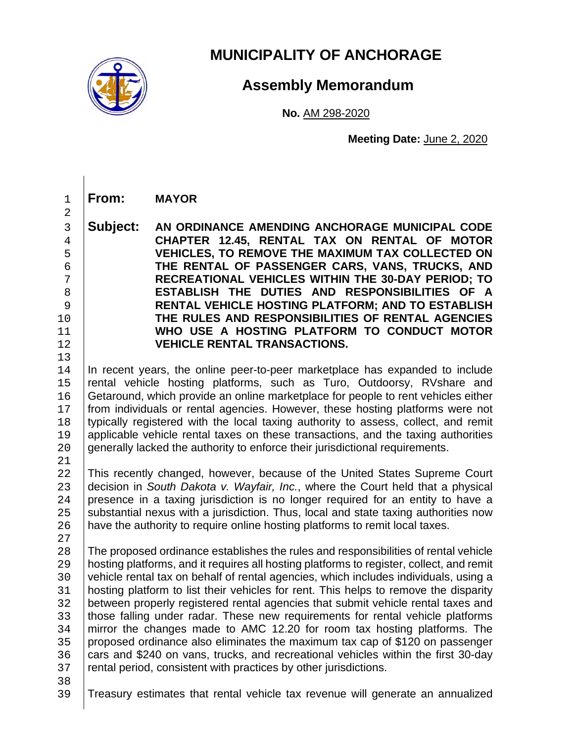

# **MUNICIPALITY OF ANCHORAGE**

# **Assembly Memorandum**

**No.** AM 298-2020

 **Meeting Date:** June 2, 2020

1 **From: MAYOR**

 **Subject: AN ORDINANCE AMENDING ANCHORAGE MUNICIPAL CODE CHAPTER 12.45, RENTAL TAX ON RENTAL OF MOTOR VEHICLES, TO REMOVE THE MAXIMUM TAX COLLECTED ON THE RENTAL OF PASSENGER CARS, VANS, TRUCKS, AND RECREATIONAL VEHICLES WITHIN THE 30-DAY PERIOD; TO ESTABLISH THE DUTIES AND RESPONSIBILITIES OF A**<br>8 **RENTAL VEHICLE HOSTING PLATFORM: AND TO ESTABLISH RENTAL VEHICLE HOSTING PLATFORM; AND TO ESTABLISH THE RULES AND RESPONSIBILITIES OF RENTAL AGENCIES WHO USE A HOSTING PLATFORM TO CONDUCT MOTOR VEHICLE RENTAL TRANSACTIONS.**

 $13$ <br> $14$ 14 In recent years, the online peer-to-peer marketplace has expanded to include<br>15 Irental vehicle hosting platforms, such as Turo, Outdoorsy, RVshare and 15 rental vehicle hosting platforms, such as Turo, Outdoorsy, RVshare and 16 Getaround which provide an online marketplace for people to rent vehicles either 16 Getaround, which provide an online marketplace for people to rent vehicles either<br>17 from individuals or rental agencies. However, these hosting platforms were not from individuals or rental agencies. However, these hosting platforms were not 18 typically registered with the local taxing authority to assess, collect, and remit 19 applicable vehicle rental taxes on these transactions, and the taxing authorities 19 applicable vehicle rental taxes on these transactions, and the taxing authorities 20 aenerally lacked the authority to enforce their iurisdictional requirements. 20 generally lacked the authority to enforce their jurisdictional requirements.

2

 $\frac{21}{22}$ 22 This recently changed, however, because of the United States Supreme Court<br>23 decision in South Dakota v. Wavfair. Inc., where the Court held that a physical 23 decision in *South Dakota v. Wayfair, Inc.*, where the Court held that a physical<br>24 Dresence in a taxing jurisdiction is no longer required for an entity to have a 24 presence in a taxing jurisdiction is no longer required for an entity to have a<br>25 substantial nexus with a jurisdiction. Thus, local and state taxing authorities now 25 substantial nexus with a jurisdiction. Thus, local and state taxing authorities now 26 have the authority to require online hosting platforms to remit local taxes. have the authority to require online hosting platforms to remit local taxes.

 $\frac{27}{28}$ 

28 The proposed ordinance establishes the rules and responsibilities of rental vehicle<br>29 Inosting platforms, and it requires all hosting platforms to register, collect, and remit 29 hosting platforms, and it requires all hosting platforms to register, collect, and remit 30 vehicle rental tax on behalf of rental agencies, which includes individuals, using a 30 vehicle rental tax on behalf of rental agencies, which includes individuals, using a<br>31 bosting platform to list their vehicles for rent. This helps to remove the disparity 31 | hosting platform to list their vehicles for rent. This helps to remove the disparity<br>32 | between properly registered rental agencies that submit vehicle rental taxes and 32 between properly registered rental agencies that submit vehicle rental taxes and<br>33 those falling under radar. These new requirements for rental vehicle platforms 33 those falling under radar. These new requirements for rental vehicle platforms<br>34 mirror the changes made to AMC 12.20 for room tax hosting platforms. The 34 mirror the changes made to AMC 12.20 for room tax hosting platforms. The 35 proposed ordinance also eliminates the maximum tax cap of \$120 on passenger 35 proposed ordinance also eliminates the maximum tax cap of \$120 on passenger<br>36 cars and \$240 on vans. trucks, and recreational vehicles within the first 30-dav 36 cars and \$240 on vans, trucks, and recreational vehicles within the first 30-day<br>37 rental period, consistent with practices by other jurisdictions. rental period, consistent with practices by other jurisdictions.

38<br>39

Treasury estimates that rental vehicle tax revenue will generate an annualized